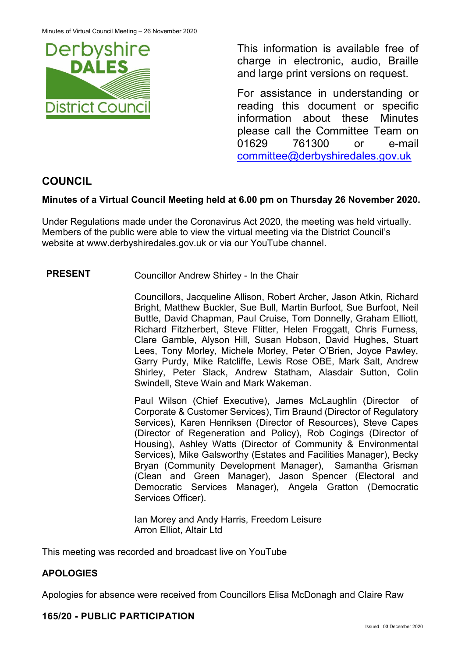

This information is available free of charge in electronic, audio, Braille and large print versions on request.

For assistance in understanding or reading this document or specific information about these Minutes please call the Committee Team on 01629 761300 or e-mail [committee@derbyshiredales.gov.uk](mailto:brian.evans@derbyshiredales.gov.uk) 

# **COUNCIL**

# **Minutes of a Virtual Council Meeting held at 6.00 pm on Thursday 26 November 2020.**

Under Regulations made under the Coronavirus Act 2020, the meeting was held virtually. Members of the public were able to view the virtual meeting via the District Council's website at [www.derbyshiredales.gov.uk](http://www.derbyshiredales.gov.uk/) or via our YouTube channel.

**PRESENT** Councillor Andrew Shirley - In the Chair

Councillors, Jacqueline Allison, Robert Archer, Jason Atkin, Richard Bright, Matthew Buckler, Sue Bull, Martin Burfoot, Sue Burfoot, Neil Buttle, David Chapman, Paul Cruise, Tom Donnelly, Graham Elliott, Richard Fitzherbert, Steve Flitter, Helen Froggatt, Chris Furness, Clare Gamble, Alyson Hill, Susan Hobson, David Hughes, Stuart Lees, Tony Morley, Michele Morley, Peter O'Brien, Joyce Pawley, Garry Purdy, Mike Ratcliffe, Lewis Rose OBE, Mark Salt, Andrew Shirley, Peter Slack, Andrew Statham, Alasdair Sutton, Colin Swindell, Steve Wain and Mark Wakeman.

Paul Wilson (Chief Executive), James McLaughlin (Director of Corporate & Customer Services), Tim Braund (Director of Regulatory Services), Karen Henriksen (Director of Resources), Steve Capes (Director of Regeneration and Policy), Rob Cogings (Director of Housing), Ashley Watts (Director of Community & Environmental Services), Mike Galsworthy (Estates and Facilities Manager), Becky Bryan (Community Development Manager), Samantha Grisman (Clean and Green Manager), Jason Spencer (Electoral and Democratic Services Manager), Angela Gratton (Democratic Services Officer).

Ian Morey and Andy Harris, Freedom Leisure Arron Elliot, Altair Ltd

This meeting was recorded and broadcast live on YouTube

# **APOLOGIES**

Apologies for absence were received from Councillors Elisa McDonagh and Claire Raw

### **165/20 - PUBLIC PARTICIPATION**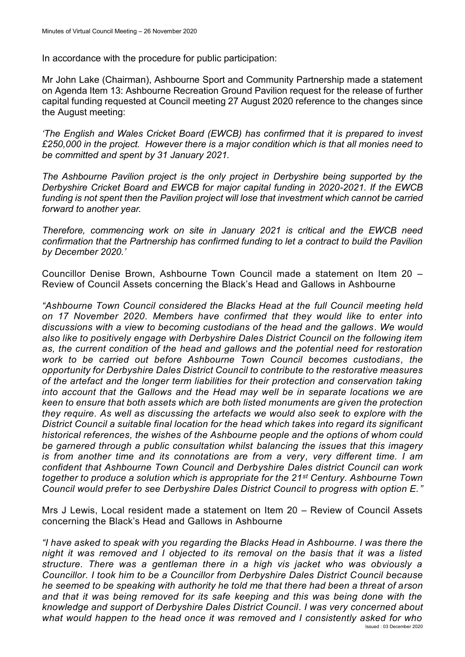In accordance with the procedure for public participation:

Mr John Lake (Chairman), Ashbourne Sport and Community Partnership made a statement on Agenda Item 13: Ashbourne Recreation Ground Pavilion request for the release of further capital funding requested at Council meeting 27 August 2020 reference to the changes since the August meeting:

*'The English and Wales Cricket Board (EWCB) has confirmed that it is prepared to invest £250,000 in the project. However there is a major condition which is that all monies need to be committed and spent by 31 January 2021.* 

*The Ashbourne Pavilion project is the only project in Derbyshire being supported by the Derbyshire Cricket Board and EWCB for major capital funding in 2020-2021. If the EWCB*  funding is not spent then the Pavilion project will lose that investment which cannot be carried *forward to another year.* 

*Therefore, commencing work on site in January 2021 is critical and the EWCB need confirmation that the Partnership has confirmed funding to let a contract to build the Pavilion by December 2020.'*

Councillor Denise Brown, Ashbourne Town Council made a statement on Item 20 – Review of Council Assets concerning the Black's Head and Gallows in Ashbourne

*"Ashbourne Town Council considered the Blacks Head at the full Council meeting held on 17 November 2020. Members have confirmed that they would like to enter into discussions with a view to becoming custodians of the head and the gallows. We would also like to positively engage with Derbyshire Dales District Council on the following item as, the current condition of the head and gallows and the potential need for restoration work to be carried out before Ashbourne Town Council becomes custodians, the opportunity for Derbyshire Dales District Council to contribute to the restorative measures of the artefact and the longer term liabilities for their protection and conservation taking into account that the Gallows and the Head may well be in separate locations we are keen to ensure that both assets which are both listed monuments are given the protection they require. As well as discussing the artefacts we would also seek to explore with the District Council a suitable final location for the head which takes into regard its significant historical references, the wishes of the Ashbourne people and the options of whom could be garnered through a public consultation whilst balancing the issues that this imagery is from another time and its connotations are from a very, very different time. I am confident that Ashbourne Town Council and Derbyshire Dales district Council can work together to produce a solution which is appropriate for the 21st Century. Ashbourne Town Council would prefer to see Derbyshire Dales District Council to progress with option E."*

Mrs J Lewis, Local resident made a statement on Item 20 – Review of Council Assets concerning the Black's Head and Gallows in Ashbourne

Issued : 03 December 2020 *"I have asked to speak with you regarding the Blacks Head in Ashbourne. I was there the night it was removed and I objected to its removal on the basis that it was a listed structure. There was a gentleman there in a high vis jacket who was obviously a Councillor. I took him to be a Councillor from Derbyshire Dales District Council because he seemed to be speaking with authority he told me that there had been a threat of arson and that it was being removed for its safe keeping and this was being done with the knowledge and support of Derbyshire Dales District Council. I was very concerned about what would happen to the head once it was removed and I consistently asked for who*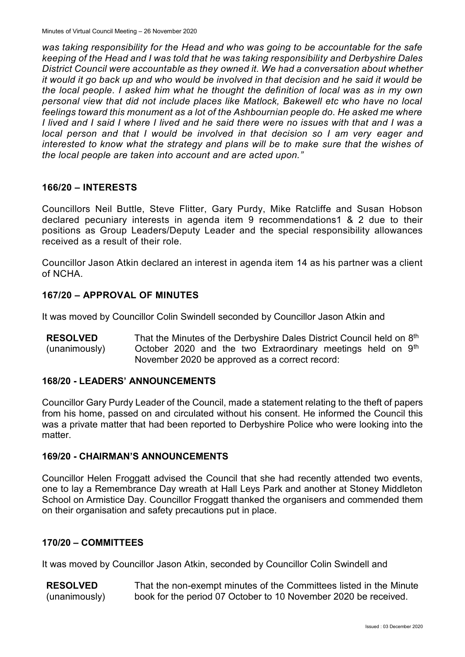*was taking responsibility for the Head and who was going to be accountable for the safe keeping of the Head and I was told that he was taking responsibility and Derbyshire Dales District Council were accountable as they owned it. We had a conversation about whether it would it go back up and who would be involved in that decision and he said it would be the local people. I asked him what he thought the definition of local was as in my own personal view that did not include places like Matlock, Bakewell etc who have no local feelings toward this monument as a lot of the Ashbournian people do. He asked me where I lived and I said I where I lived and he said there were no issues with that and I was a local person and that I would be involved in that decision so I am very eager and interested to know what the strategy and plans will be to make sure that the wishes of the local people are taken into account and are acted upon."*

#### **166/20 – INTERESTS**

Councillors Neil Buttle, Steve Flitter, Gary Purdy, Mike Ratcliffe and Susan Hobson declared pecuniary interests in agenda item 9 recommendations1 & 2 due to their positions as Group Leaders/Deputy Leader and the special responsibility allowances received as a result of their role.

Councillor Jason Atkin declared an interest in agenda item 14 as his partner was a client of NCHA.

### **167/20 – APPROVAL OF MINUTES**

It was moved by Councillor Colin Swindell seconded by Councillor Jason Atkin and

**RESOLVED** (unanimously) That the Minutes of the Derbyshire Dales District Council held on 8<sup>th</sup> October 2020 and the two Extraordinary meetings held on  $9<sup>th</sup>$ November 2020 be approved as a correct record:

#### **168/20 - LEADERS' ANNOUNCEMENTS**

Councillor Gary Purdy Leader of the Council, made a statement relating to the theft of papers from his home, passed on and circulated without his consent. He informed the Council this was a private matter that had been reported to Derbyshire Police who were looking into the matter.

#### **169/20 - CHAIRMAN'S ANNOUNCEMENTS**

Councillor Helen Froggatt advised the Council that she had recently attended two events, one to lay a Remembrance Day wreath at Hall Leys Park and another at Stoney Middleton School on Armistice Day. Councillor Froggatt thanked the organisers and commended them on their organisation and safety precautions put in place.

#### **170/20 – COMMITTEES**

It was moved by Councillor Jason Atkin, seconded by Councillor Colin Swindell and

**RESOLVED** (unanimously) That the non-exempt minutes of the Committees listed in the Minute book for the period 07 October to 10 November 2020 be received.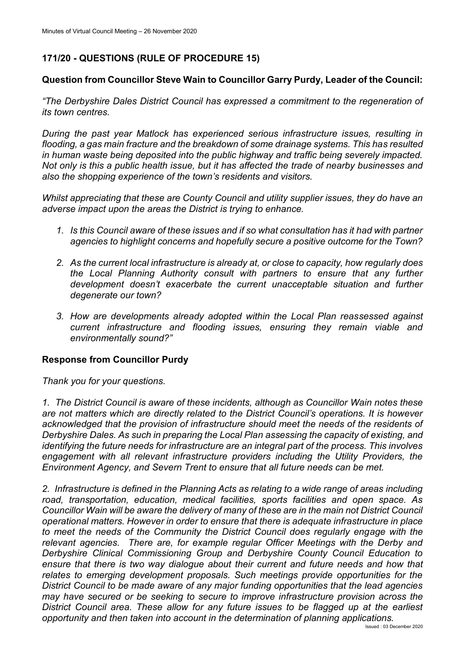# **171/20 - QUESTIONS (RULE OF PROCEDURE 15)**

# **Question from Councillor Steve Wain to Councillor Garry Purdy, Leader of the Council:**

*"The Derbyshire Dales District Council has expressed a commitment to the regeneration of its town centres.*

*During the past year Matlock has experienced serious infrastructure issues, resulting in flooding, a gas main fracture and the breakdown of some drainage systems. This has resulted in human waste being deposited into the public highway and traffic being severely impacted. Not only is this a public health issue, but it has affected the trade of nearby businesses and also the shopping experience of the town's residents and visitors.*

*Whilst appreciating that these are County Council and utility supplier issues, they do have an adverse impact upon the areas the District is trying to enhance.*

- *1. Is this Council aware of these issues and if so what consultation has it had with partner agencies to highlight concerns and hopefully secure a positive outcome for the Town?*
- *2. As the current local infrastructure is already at, or close to capacity, how regularly does the Local Planning Authority consult with partners to ensure that any further development doesn't exacerbate the current unacceptable situation and further degenerate our town?*
- *3. How are developments already adopted within the Local Plan reassessed against current infrastructure and flooding issues, ensuring they remain viable and environmentally sound?"*

### **Response from Councillor Purdy**

*Thank you for your questions.*

*1. The District Council is aware of these incidents, although as Councillor Wain notes these are not matters which are directly related to the District Council's operations. It is however acknowledged that the provision of infrastructure should meet the needs of the residents of Derbyshire Dales. As such in preparing the Local Plan assessing the capacity of existing, and identifying the future needs for infrastructure are an integral part of the process. This involves engagement with all relevant infrastructure providers including the Utility Providers, the Environment Agency, and Severn Trent to ensure that all future needs can be met.*

*2. Infrastructure is defined in the Planning Acts as relating to a wide range of areas including road, transportation, education, medical facilities, sports facilities and open space. As Councillor Wain will be aware the delivery of many of these are in the main not District Council operational matters. However in order to ensure that there is adequate infrastructure in place to meet the needs of the Community the District Council does regularly engage with the relevant agencies. There are, for example regular Officer Meetings with the Derby and Derbyshire Clinical Commissioning Group and Derbyshire County Council Education to ensure that there is two way dialogue about their current and future needs and how that relates to emerging development proposals. Such meetings provide opportunities for the District Council to be made aware of any major funding opportunities that the lead agencies may have secured or be seeking to secure to improve infrastructure provision across the District Council area. These allow for any future issues to be flagged up at the earliest opportunity and then taken into account in the determination of planning applications.*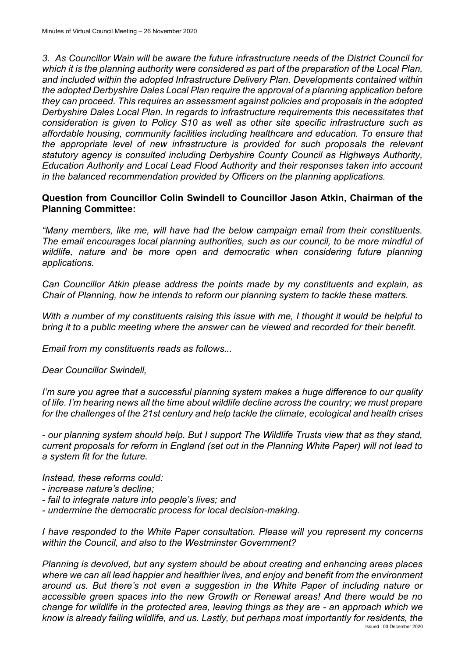*3. As Councillor Wain will be aware the future infrastructure needs of the District Council for which it is the planning authority were considered as part of the preparation of the Local Plan, and included within the adopted Infrastructure Delivery Plan. Developments contained within the adopted Derbyshire Dales Local Plan require the approval of a planning application before they can proceed. This requires an assessment against policies and proposals in the adopted Derbyshire Dales Local Plan. In regards to infrastructure requirements this necessitates that consideration is given to Policy S10 as well as other site specific infrastructure such as affordable housing, community facilities including healthcare and education. To ensure that the appropriate level of new infrastructure is provided for such proposals the relevant statutory agency is consulted including Derbyshire County Council as Highways Authority, Education Authority and Local Lead Flood Authority and their responses taken into account in the balanced recommendation provided by Officers on the planning applications.*

### **Question from Councillor Colin Swindell to Councillor Jason Atkin, Chairman of the Planning Committee:**

*"Many members, like me, will have had the below campaign email from their constituents. The email encourages local planning authorities, such as our council, to be more mindful of wildlife, nature and be more open and democratic when considering future planning applications.*

*Can Councillor Atkin please address the points made by my constituents and explain, as Chair of Planning, how he intends to reform our planning system to tackle these matters.* 

*With a number of my constituents raising this issue with me, I thought it would be helpful to bring it to a public meeting where the answer can be viewed and recorded for their benefit.* 

*Email from my constituents reads as follows...*

*Dear Councillor Swindell,*

*I'm sure you agree that a successful planning system makes a huge difference to our quality of life. I'm hearing news all the time about wildlife decline across the country; we must prepare for the challenges of the 21st century and help tackle the climate, ecological and health crises* 

*- our planning system should help. But I support The Wildlife Trusts view that as they stand, current proposals for reform in England (set out in the Planning White Paper) will not lead to a system fit for the future.* 

*Instead, these reforms could:*

- *- increase nature's decline;*
- *- fail to integrate nature into people's lives; and*
- *- undermine the democratic process for local decision-making.*

*I have responded to the White Paper consultation. Please will you represent my concerns within the Council, and also to the Westminster Government?*

Issued : 03 December 2020 *Planning is devolved, but any system should be about creating and enhancing areas places where we can all lead happier and healthier lives, and enjoy and benefit from the environment around us. But there's not even a suggestion in the White Paper of including nature or accessible green spaces into the new Growth or Renewal areas! And there would be no change for wildlife in the protected area, leaving things as they are - an approach which we know is already failing wildlife, and us. Lastly, but perhaps most importantly for residents, the*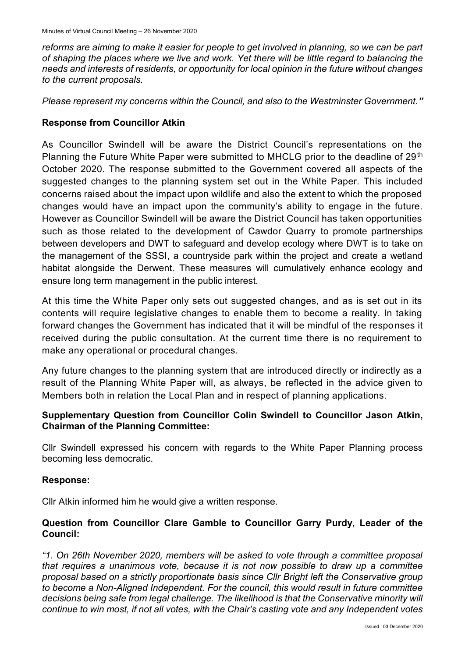*reforms are aiming to make it easier for people to get involved in planning, so we can be part of shaping the places where we live and work. Yet there will be little regard to balancing the needs and interests of residents, or opportunity for local opinion in the future without changes to the current proposals.*

*Please represent my concerns within the Council, and also to the Westminster Government."*

### **Response from Councillor Atkin**

As Councillor Swindell will be aware the District Council's representations on the Planning the Future White Paper were submitted to MHCLG prior to the deadline of 29<sup>th</sup> October 2020. The response submitted to the Government covered all aspects of the suggested changes to the planning system set out in the White Paper. This included concerns raised about the impact upon wildlife and also the extent to which the proposed changes would have an impact upon the community's ability to engage in the future. However as Councillor Swindell will be aware the District Council has taken opportunities such as those related to the development of Cawdor Quarry to promote partnerships between developers and DWT to safeguard and develop ecology where DWT is to take on the management of the SSSI, a countryside park within the project and create a wetland habitat alongside the Derwent. These measures will cumulatively enhance ecology and ensure long term management in the public interest.

At this time the White Paper only sets out suggested changes, and as is set out in its contents will require legislative changes to enable them to become a reality. In taking forward changes the Government has indicated that it will be mindful of the responses it received during the public consultation. At the current time there is no requirement to make any operational or procedural changes.

Any future changes to the planning system that are introduced directly or indirectly as a result of the Planning White Paper will, as always, be reflected in the advice given to Members both in relation the Local Plan and in respect of planning applications.

# **Supplementary Question from Councillor Colin Swindell to Councillor Jason Atkin, Chairman of the Planning Committee:**

Cllr Swindell expressed his concern with regards to the White Paper Planning process becoming less democratic.

### **Response:**

Cllr Atkin informed him he would give a written response.

### **Question from Councillor Clare Gamble to Councillor Garry Purdy, Leader of the Council:**

*"1. On 26th November 2020, members will be asked to vote through a committee proposal that requires a unanimous vote, because it is not now possible to draw up a committee proposal based on a strictly proportionate basis since Cllr Bright left the Conservative group to become a Non-Aligned Independent. For the council, this would result in future committee decisions being safe from legal challenge. The likelihood is that the Conservative minority will continue to win most, if not all votes, with the Chair's casting vote and any Independent votes*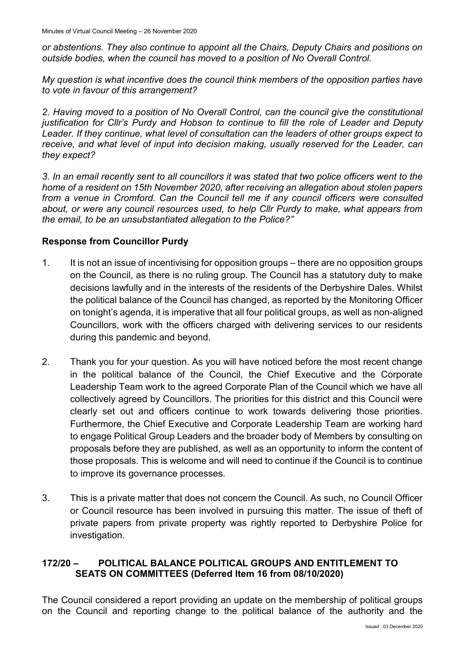*or abstentions. They also continue to appoint all the Chairs, Deputy Chairs and positions on outside bodies, when the council has moved to a position of No Overall Control.*

*My question is what incentive does the council think members of the opposition parties have to vote in favour of this arrangement?*

*2. Having moved to a position of No Overall Control, can the council give the constitutional justification for Cllr's Purdy and Hobson to continue to fill the role of Leader and Deputy Leader. If they continue, what level of consultation can the leaders of other groups expect to receive, and what level of input into decision making, usually reserved for the Leader, can they expect?*

*3. In an email recently sent to all councillors it was stated that two police officers went to the home of a resident on 15th November 2020, after receiving an allegation about stolen papers from a venue in Cromford. Can the Council tell me if any council officers were consulted about, or were any council resources used, to help Cllr Purdy to make, what appears from the email, to be an unsubstantiated allegation to the Police?"*

# **Response from Councillor Purdy**

- 1. It is not an issue of incentivising for opposition groups there are no opposition groups on the Council, as there is no ruling group. The Council has a statutory duty to make decisions lawfully and in the interests of the residents of the Derbyshire Dales. Whilst the political balance of the Council has changed, as reported by the Monitoring Officer on tonight's agenda, it is imperative that all four political groups, as well as non-aligned Councillors, work with the officers charged with delivering services to our residents during this pandemic and beyond.
- 2. Thank you for your question. As you will have noticed before the most recent change in the political balance of the Council, the Chief Executive and the Corporate Leadership Team work to the agreed Corporate Plan of the Council which we have all collectively agreed by Councillors. The priorities for this district and this Council were clearly set out and officers continue to work towards delivering those priorities. Furthermore, the Chief Executive and Corporate Leadership Team are working hard to engage Political Group Leaders and the broader body of Members by consulting on proposals before they are published, as well as an opportunity to inform the content of those proposals. This is welcome and will need to continue if the Council is to continue to improve its governance processes.
- 3. This is a private matter that does not concern the Council. As such, no Council Officer or Council resource has been involved in pursuing this matter. The issue of theft of private papers from private property was rightly reported to Derbyshire Police for investigation.

# **172/20 – POLITICAL BALANCE POLITICAL GROUPS AND ENTITLEMENT TO SEATS ON COMMITTEES (Deferred Item 16 from 08/10/2020)**

The Council considered a report providing an update on the membership of political groups on the Council and reporting change to the political balance of the authority and the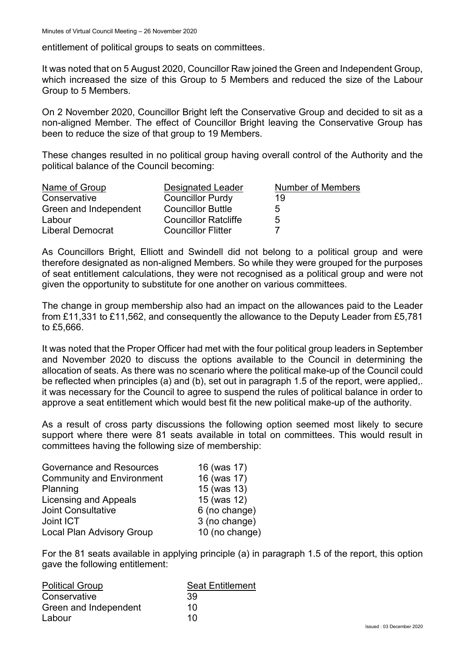entitlement of political groups to seats on committees.

It was noted that on 5 August 2020, Councillor Raw joined the Green and Independent Group, which increased the size of this Group to 5 Members and reduced the size of the Labour Group to 5 Members.

On 2 November 2020, Councillor Bright left the Conservative Group and decided to sit as a non-aligned Member. The effect of Councillor Bright leaving the Conservative Group has been to reduce the size of that group to 19 Members.

These changes resulted in no political group having overall control of the Authority and the political balance of the Council becoming:

| Name of Group         | Designated Leader           | Number of Members |
|-----------------------|-----------------------------|-------------------|
| Conservative          | <b>Councillor Purdy</b>     | 19                |
| Green and Independent | <b>Councillor Buttle</b>    | .h                |
| Labour                | <b>Councillor Ratcliffe</b> | .h                |
| Liberal Democrat      | <b>Councillor Flitter</b>   |                   |

As Councillors Bright, Elliott and Swindell did not belong to a political group and were therefore designated as non-aligned Members. So while they were grouped for the purposes of seat entitlement calculations, they were not recognised as a political group and were not given the opportunity to substitute for one another on various committees.

The change in group membership also had an impact on the allowances paid to the Leader from £11,331 to £11,562, and consequently the allowance to the Deputy Leader from £5,781 to £5,666.

It was noted that the Proper Officer had met with the four political group leaders in September and November 2020 to discuss the options available to the Council in determining the allocation of seats. As there was no scenario where the political make-up of the Council could be reflected when principles (a) and (b), set out in paragraph 1.5 of the report, were applied,. it was necessary for the Council to agree to suspend the rules of political balance in order to approve a seat entitlement which would best fit the new political make-up of the authority.

As a result of cross party discussions the following option seemed most likely to secure support where there were 81 seats available in total on committees. This would result in committees having the following size of membership:

| Governance and Resources         | 16 (was 17)    |
|----------------------------------|----------------|
| <b>Community and Environment</b> | 16 (was 17)    |
| Planning                         | 15 (was 13)    |
| Licensing and Appeals            | 15 (was 12)    |
| <b>Joint Consultative</b>        | 6 (no change)  |
| Joint ICT                        | 3 (no change)  |
| <b>Local Plan Advisory Group</b> | 10 (no change) |
|                                  |                |

For the 81 seats available in applying principle (a) in paragraph 1.5 of the report, this option gave the following entitlement:

| <b>Seat Entitlement</b> |  |
|-------------------------|--|
| 39                      |  |
| 10                      |  |
| 10                      |  |
|                         |  |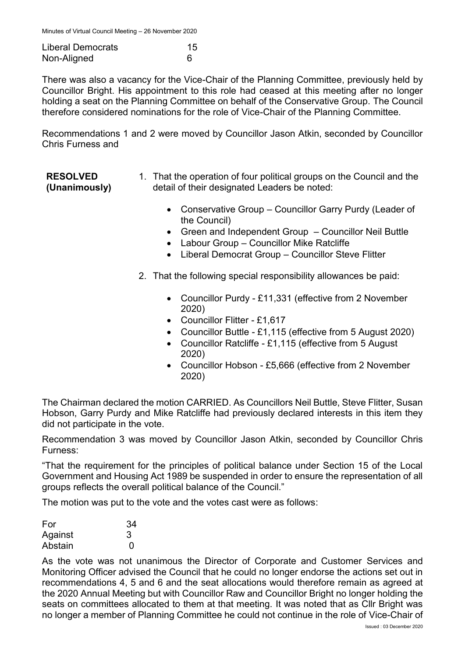| <b>Liberal Democrats</b> | 15 |
|--------------------------|----|
| Non-Aligned              |    |

There was also a vacancy for the Vice-Chair of the Planning Committee, previously held by Councillor Bright. His appointment to this role had ceased at this meeting after no longer holding a seat on the Planning Committee on behalf of the Conservative Group. The Council therefore considered nominations for the role of Vice-Chair of the Planning Committee.

Recommendations 1 and 2 were moved by Councillor Jason Atkin, seconded by Councillor Chris Furness and

| <b>RESOLVED</b> | 1. That the operation of four political groups on the Council and the |
|-----------------|-----------------------------------------------------------------------|
| (Unanimously)   | detail of their designated Leaders be noted:                          |

- Conservative Group Councillor Garry Purdy (Leader of the Council)
- Green and Independent Group Councillor Neil Buttle
- Labour Group Councillor Mike Ratcliffe
- Liberal Democrat Group Councillor Steve Flitter
- 2. That the following special responsibility allowances be paid:
	- Councillor Purdy £11,331 (effective from 2 November 2020)
	- Councillor Flitter £1,617
	- Councillor Buttle £1,115 (effective from 5 August 2020)
	- Councillor Ratcliffe £1,115 (effective from 5 August 2020)
	- Councillor Hobson £5,666 (effective from 2 November 2020)

The Chairman declared the motion CARRIED. As Councillors Neil Buttle, Steve Flitter, Susan Hobson, Garry Purdy and Mike Ratcliffe had previously declared interests in this item they did not participate in the vote.

Recommendation 3 was moved by Councillor Jason Atkin, seconded by Councillor Chris Furness:

"That the requirement for the principles of political balance under Section 15 of the Local Government and Housing Act 1989 be suspended in order to ensure the representation of all groups reflects the overall political balance of the Council."

The motion was put to the vote and the votes cast were as follows:

| For     | 34 |
|---------|----|
| Against |    |
| Abstain | 0  |

As the vote was not unanimous the Director of Corporate and Customer Services and Monitoring Officer advised the Council that he could no longer endorse the actions set out in recommendations 4, 5 and 6 and the seat allocations would therefore remain as agreed at the 2020 Annual Meeting but with Councillor Raw and Councillor Bright no longer holding the seats on committees allocated to them at that meeting. It was noted that as Cllr Bright was no longer a member of Planning Committee he could not continue in the role of Vice-Chair of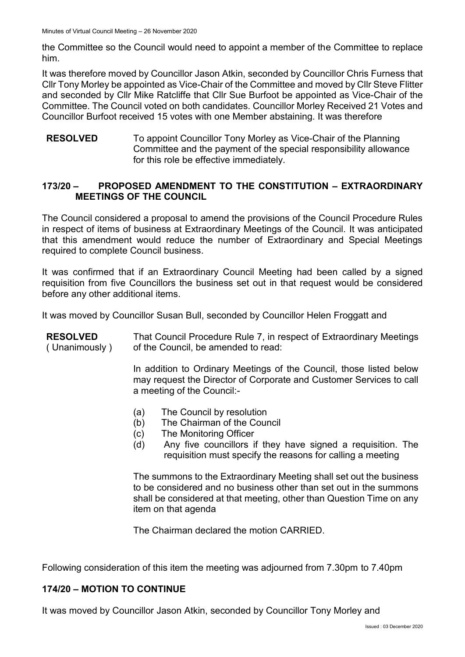the Committee so the Council would need to appoint a member of the Committee to replace him.

It was therefore moved by Councillor Jason Atkin, seconded by Councillor Chris Furness that Cllr Tony Morley be appointed as Vice-Chair of the Committee and moved by Cllr Steve Flitter and seconded by Cllr Mike Ratcliffe that Cllr Sue Burfoot be appointed as Vice-Chair of the Committee. The Council voted on both candidates. Councillor Morley Received 21 Votes and Councillor Burfoot received 15 votes with one Member abstaining. It was therefore

**RESOLVED** To appoint Councillor Tony Morley as Vice-Chair of the Planning Committee and the payment of the special responsibility allowance for this role be effective immediately.

# **173/20 – PROPOSED AMENDMENT TO THE CONSTITUTION – EXTRAORDINARY MEETINGS OF THE COUNCIL**

The Council considered a proposal to amend the provisions of the Council Procedure Rules in respect of items of business at Extraordinary Meetings of the Council. It was anticipated that this amendment would reduce the number of Extraordinary and Special Meetings required to complete Council business.

It was confirmed that if an Extraordinary Council Meeting had been called by a signed requisition from five Councillors the business set out in that request would be considered before any other additional items.

It was moved by Councillor Susan Bull, seconded by Councillor Helen Froggatt and

| <b>RESOLVED</b><br>(Unanimously) | That Council Procedure Rule 7, in respect of Extraordinary Meetings<br>of the Council, be amended to read:<br>In addition to Ordinary Meetings of the Council, those listed below<br>may request the Director of Corporate and Customer Services to call<br>a meeting of the Council:- |  |
|----------------------------------|----------------------------------------------------------------------------------------------------------------------------------------------------------------------------------------------------------------------------------------------------------------------------------------|--|
|                                  |                                                                                                                                                                                                                                                                                        |  |
|                                  | The Council by resolution<br>(a)<br>The Chairman of the Council<br>(b)<br>(c)<br>The Monitoring Officer<br>Any five councillors if they have signed a requisition. The<br>(d)<br>requisition must specify the reasons for calling a meeting                                            |  |
|                                  | The summons to the Extraordinary Meeting shall set out the business<br>to be considered and no business other than set out in the summons                                                                                                                                              |  |

to be considered and no business other than set out in the summons shall be considered at that meeting, other than Question Time on any item on that agenda

The Chairman declared the motion CARRIED.

Following consideration of this item the meeting was adjourned from 7.30pm to 7.40pm

### **174/20 – MOTION TO CONTINUE**

It was moved by Councillor Jason Atkin, seconded by Councillor Tony Morley and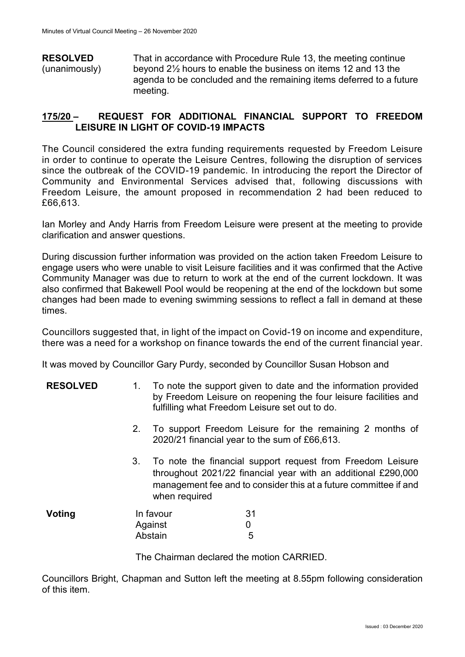**RESOLVED** (unanimously) That in accordance with Procedure Rule 13, the meeting continue beyond 2½ hours to enable the business on items 12 and 13 the agenda to be concluded and the remaining items deferred to a future meeting.

### **175/20 – REQUEST FOR ADDITIONAL FINANCIAL SUPPORT TO FREEDOM LEISURE IN LIGHT OF COVID-19 IMPACTS**

The Council considered the extra funding requirements requested by Freedom Leisure in order to continue to operate the Leisure Centres, following the disruption of services since the outbreak of the COVID-19 pandemic. In introducing the report the Director of Community and Environmental Services advised that, following discussions with Freedom Leisure, the amount proposed in recommendation 2 had been reduced to £66,613.

Ian Morley and Andy Harris from Freedom Leisure were present at the meeting to provide clarification and answer questions.

During discussion further information was provided on the action taken Freedom Leisure to engage users who were unable to visit Leisure facilities and it was confirmed that the Active Community Manager was due to return to work at the end of the current lockdown. It was also confirmed that Bakewell Pool would be reopening at the end of the lockdown but some changes had been made to evening swimming sessions to reflect a fall in demand at these times.

Councillors suggested that, in light of the impact on Covid-19 on income and expenditure, there was a need for a workshop on finance towards the end of the current financial year.

It was moved by Councillor Gary Purdy, seconded by Councillor Susan Hobson and

| <b>RESOLVED</b> |  | To note the support given to date and the information provided  |
|-----------------|--|-----------------------------------------------------------------|
|                 |  | by Freedom Leisure on reopening the four leisure facilities and |
|                 |  | fulfilling what Freedom Leisure set out to do.                  |

- 2. To support Freedom Leisure for the remaining 2 months of 2020/21 financial year to the sum of £66,613.
- 3. To note the financial support request from Freedom Leisure throughout 2021/22 financial year with an additional £290,000 management fee and to consider this at a future committee if and when required

| Voting | In favour | 31 |
|--------|-----------|----|
|        | Against   |    |
|        | Abstain   | 5  |

The Chairman declared the motion CARRIED.

Councillors Bright, Chapman and Sutton left the meeting at 8.55pm following consideration of this item.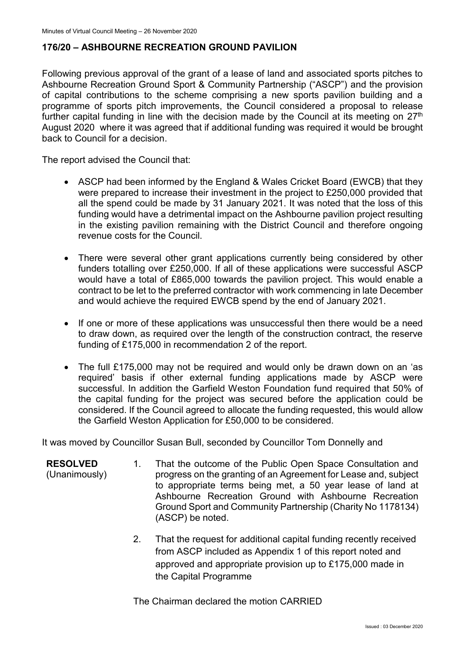# **176/20 – ASHBOURNE RECREATION GROUND PAVILION**

Following previous approval of the grant of a lease of land and associated sports pitches to Ashbourne Recreation Ground Sport & Community Partnership ("ASCP") and the provision of capital contributions to the scheme comprising a new sports pavilion building and a programme of sports pitch improvements, the Council considered a proposal to release further capital funding in line with the decision made by the Council at its meeting on  $27<sup>th</sup>$ August 2020 where it was agreed that if additional funding was required it would be brought back to Council for a decision.

The report advised the Council that:

- ASCP had been informed by the England & Wales Cricket Board (EWCB) that they were prepared to increase their investment in the project to £250,000 provided that all the spend could be made by 31 January 2021. It was noted that the loss of this funding would have a detrimental impact on the Ashbourne pavilion project resulting in the existing pavilion remaining with the District Council and therefore ongoing revenue costs for the Council.
- There were several other grant applications currently being considered by other funders totalling over £250,000. If all of these applications were successful ASCP would have a total of £865,000 towards the pavilion project. This would enable a contract to be let to the preferred contractor with work commencing in late December and would achieve the required EWCB spend by the end of January 2021.
- If one or more of these applications was unsuccessful then there would be a need to draw down, as required over the length of the construction contract, the reserve funding of £175,000 in recommendation 2 of the report.
- The full £175,000 may not be required and would only be drawn down on an 'as required' basis if other external funding applications made by ASCP were successful. In addition the Garfield Weston Foundation fund required that 50% of the capital funding for the project was secured before the application could be considered. If the Council agreed to allocate the funding requested, this would allow the Garfield Weston Application for £50,000 to be considered.

It was moved by Councillor Susan Bull, seconded by Councillor Tom Donnelly and

- **RESOLVED** (Unanimously) 1. That the outcome of the Public Open Space Consultation and progress on the granting of an Agreement for Lease and, subject to appropriate terms being met, a 50 year lease of land at Ashbourne Recreation Ground with Ashbourne Recreation Ground Sport and Community Partnership (Charity No 1178134) (ASCP) be noted.
	- 2. That the request for additional capital funding recently received from ASCP included as Appendix 1 of this report noted and approved and appropriate provision up to £175,000 made in the Capital Programme

The Chairman declared the motion CARRIED